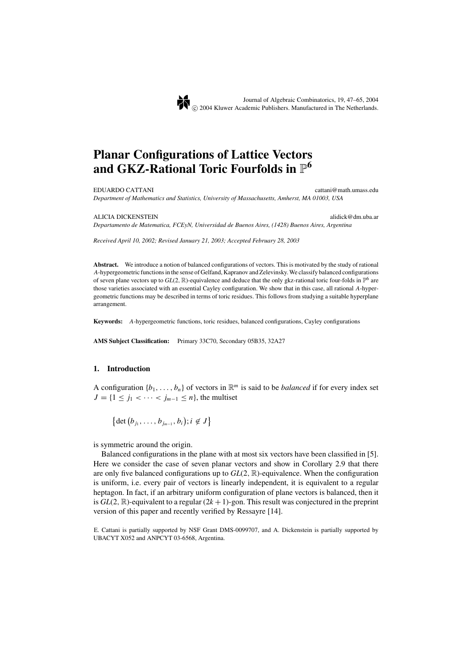# **Planar Configurations of Lattice Vectors** and GKZ-Rational Toric Fourfolds in  $\mathbb{P}^6$

EDUARDO CATTANI cattani@math.umass.edu *Department of Mathematics and Statistics, University of Massachusetts, Amherst, MA 01003, USA*

ALICIA DICKENSTEIN alidick@dm.uba.ar

*Departamento de Matematica, FCEyN, Universidad de Buenos Aires, (1428) Buenos Aires, Argentina*

*Received April 10, 2002; Revised January 21, 2003; Accepted February 28, 2003*

**Abstract.** We introduce a notion of balanced configurations of vectors. This is motivated by the study of rational *A*-hypergeometric functions in the sense of Gelfand, Kapranov and Zelevinsky. We classify balanced configurations of seven plane vectors up to  $GL(2, \mathbb{R})$ -equivalence and deduce that the only gkz-rational toric four-folds in  $\mathbb{P}^6$  are those varieties associated with an essential Cayley configuration. We show that in this case, all rational *A*-hypergeometric functions may be described in terms of toric residues. This follows from studying a suitable hyperplane arrangement.

**Keywords:** *A*-hypergeometric functions, toric residues, balanced configurations, Cayley configurations

**AMS Subject Classification:** Primary 33C70, Secondary 05B35, 32A27

#### **1. Introduction**

A configuration  $\{b_1, \ldots, b_n\}$  of vectors in  $\mathbb{R}^m$  is said to be *balanced* if for every index set *J* = {1 ≤ *j*<sub>1</sub> < · · · < *j*<sub>*m*−1</sub> ≤ *n*}, the multiset

 $\{\det (b_{j_1}, \ldots, b_{j_{m-1}}, b_i); i \notin J\}$ 

is symmetric around the origin.

Balanced configurations in the plane with at most six vectors have been classified in [5]. Here we consider the case of seven planar vectors and show in Corollary 2.9 that there are only five balanced configurations up to *GL*(2, R)-equivalence. When the configuration is uniform, i.e. every pair of vectors is linearly independent, it is equivalent to a regular heptagon. In fact, if an arbitrary uniform configuration of plane vectors is balanced, then it is  $GL(2, \mathbb{R})$ -equivalent to a regular  $(2k + 1)$ -gon. This result was conjectured in the preprint version of this paper and recently verified by Ressayre [14].

E. Cattani is partially supported by NSF Grant DMS-0099707, and A. Dickenstein is partially supported by UBACYT X052 and ANPCYT 03-6568, Argentina.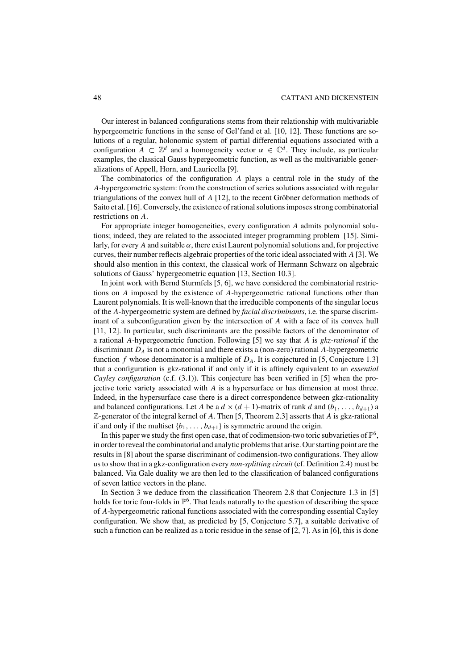Our interest in balanced configurations stems from their relationship with multivariable hypergeometric functions in the sense of Gel'fand et al. [10, 12]. These functions are solutions of a regular, holonomic system of partial differential equations associated with a configuration  $A \subset \mathbb{Z}^d$  and a homogeneity vector  $\alpha \in \mathbb{C}^d$ . They include, as particular examples, the classical Gauss hypergeometric function, as well as the multivariable generalizations of Appell, Horn, and Lauricella [9].

The combinatorics of the configuration *A* plays a central role in the study of the *A*-hypergeometric system: from the construction of series solutions associated with regular triangulations of the convex hull of *A* [12], to the recent Gröbner deformation methods of Saito et al. [16]. Conversely, the existence of rational solutions imposes strong combinatorial restrictions on *A*.

For appropriate integer homogeneities, every configuration *A* admits polynomial solutions; indeed, they are related to the associated integer programming problem [15]. Similarly, for every *A* and suitable  $\alpha$ , there exist Laurent polynomial solutions and, for projective curves, their number reflects algebraic properties of the toric ideal associated with *A* [3]. We should also mention in this context, the classical work of Hermann Schwarz on algebraic solutions of Gauss' hypergeometric equation [13, Section 10.3].

In joint work with Bernd Sturmfels [5, 6], we have considered the combinatorial restrictions on *A* imposed by the existence of *A*-hypergeometric rational functions other than Laurent polynomials. It is well-known that the irreducible components of the singular locus of the *A*-hypergeometric system are defined by *facial discriminants*, i.e. the sparse discriminant of a subconfiguration given by the intersection of *A* with a face of its convex hull [11, 12]. In particular, such discriminants are the possible factors of the denominator of a rational *A*-hypergeometric function. Following [5] we say that *A* is *gkz-rational* if the discriminant *DA* is not a monomial and there exists a (non-zero) rational *A*-hypergeometric function *f* whose denominator is a multiple of *DA*. It is conjectured in [5, Conjecture 1.3] that a configuration is gkz-rational if and only if it is affinely equivalent to an *essential Cayley configuration* (c.f. (3.1)). This conjecture has been verified in [5] when the projective toric variety associated with *A* is a hypersurface or has dimension at most three. Indeed, in the hypersurface case there is a direct correspondence between gkz-rationality and balanced configurations. Let *A* be a  $d \times (d + 1)$ -matrix of rank *d* and  $(b_1, \ldots, b_{d+1})$  a Z-generator of the integral kernel of *A*. Then [5, Theorem 2.3] asserts that *A* is gkz-rational if and only if the multiset  $\{b_1, \ldots, b_{d+1}\}$  is symmetric around the origin.

In this paper we study the first open case, that of codimension-two toric subvarieties of  $\mathbb{P}^6$ , in order to reveal the combinatorial and analytic problems that arise. Our starting point are the results in [8] about the sparse discriminant of codimension-two configurations. They allow us to show that in a gkz-configuration every *non-splitting circuit* (cf. Definition 2.4) must be balanced. Via Gale duality we are then led to the classification of balanced configurations of seven lattice vectors in the plane.

In Section 3 we deduce from the classification Theorem 2.8 that Conjecture 1.3 in [5] holds for toric four-folds in  $\mathbb{P}^6$ . That leads naturally to the question of describing the space of *A*-hypergeometric rational functions associated with the corresponding essential Cayley configuration. We show that, as predicted by [5, Conjecture 5.7], a suitable derivative of such a function can be realized as a toric residue in the sense of [2, 7]. As in [6], this is done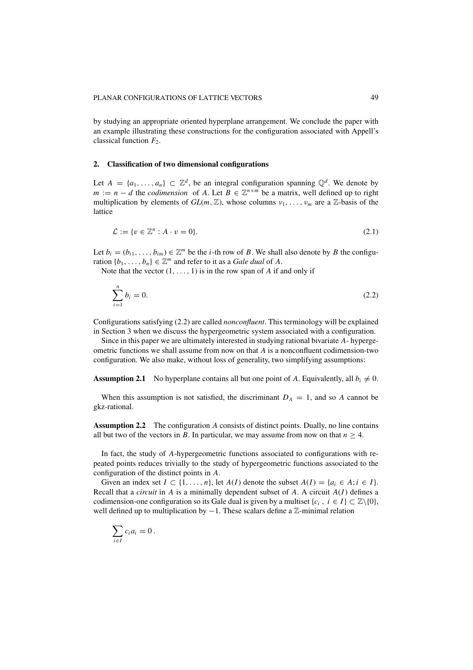by studying an appropriate oriented hyperplane arrangement. We conclude the paper with an example illustrating these constructions for the configuration associated with Appell's classical function *F*2.

## **2. Classification of two dimensional configurations**

Let  $A = \{a_1, \ldots, a_n\} \subset \mathbb{Z}^d$ , be an integral configuration spanning  $\mathbb{Q}^d$ . We denote by  $m := n - d$  the *codimension* of *A*. Let  $B \in \mathbb{Z}^{n \times m}$  be a matrix, well defined up to right multiplication by elements of  $GL(m, \mathbb{Z})$ , whose columns  $v_1, \ldots, v_m$  are a  $\mathbb{Z}$ -basis of the lattice

$$
\mathcal{L} := \{ v \in \mathbb{Z}^n : A \cdot v = 0 \}.
$$
\n
$$
(2.1)
$$

Let  $b_i = (b_{i1}, \ldots, b_{im}) \in \mathbb{Z}^m$  be the *i*-th row of *B*. We shall also denote by *B* the configuration  $\{b_1, \ldots, b_n\} \in \mathbb{Z}^m$  and refer to it as a *Gale dual* of *A*.

Note that the vector  $(1, \ldots, 1)$  is in the row span of *A* if and only if

$$
\sum_{i=1}^{n} b_i = 0. \tag{2.2}
$$

Configurations satisfying (2.2) are called *nonconfluent*. This terminology will be explained in Section 3 when we discuss the hypergeometric system associated with a configuration.

Since in this paper we are ultimately interested in studying rational bivariate *A*- hypergeometric functions we shall assume from now on that *A* is a nonconfluent codimension-two configuration. We also make, without loss of generality, two simplifying assumptions:

**Assumption 2.1** No hyperplane contains all but one point of A. Equivalently, all  $b_i \neq 0$ .

When this assumption is not satisfied, the discriminant  $D_A = 1$ , and so *A* cannot be gkz-rational.

**Assumption 2.2** The configuration *A* consists of distinct points. Dually, no line contains all but two of the vectors in *B*. In particular, we may assume from now on that  $n \geq 4$ .

In fact, the study of *A*-hypergeometric functions associated to configurations with repeated points reduces trivially to the study of hypergeometric functions associated to the configuration of the distinct points in *A*.

Given an index set  $I \subset \{1, \ldots, n\}$ , let  $A(I)$  denote the subset  $A(I) = \{a_i \in A; i \in I\}$ . Recall that a *circuit* in *A* is a minimally dependent subset of *A*. A circuit *A*(*I*) defines a codimension-one configuration so its Gale dual is given by a multiset  $\{c_i, i \in I\} \subset \mathbb{Z}\backslash\{0\}$ , well defined up to multiplication by −1. These scalars define a  $\mathbb{Z}$ -minimal relation

$$
\sum_{i\in I}c_ia_i=0.
$$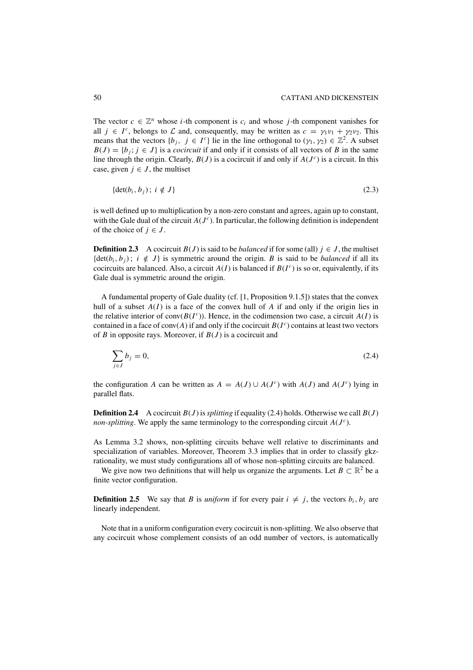The vector  $c \in \mathbb{Z}^n$  whose *i*-th component is  $c_i$  and whose *j*-th component vanishes for all  $j \in I^c$ , belongs to  $\mathcal L$  and, consequently, may be written as  $c = \gamma_1 \nu_1 + \gamma_2 \nu_2$ . This means that the vectors  $\{b_j, j \in I^c\}$  lie in the line orthogonal to  $(\gamma_1, \gamma_2) \in \mathbb{Z}^2$ . A subset  $B(J) = \{b_j; j \in J\}$  is a *cocircuit* if and only if it consists of all vectors of *B* in the same line through the origin. Clearly,  $B(J)$  is a cocircuit if and only if  $A(J<sup>c</sup>)$  is a circuit. In this case, given  $j \in J$ , the multiset

$$
\{\det(b_i, b_j); i \notin J\}
$$
\n
$$
(2.3)
$$

is well defined up to multiplication by a non-zero constant and agrees, again up to constant, with the Gale dual of the circuit  $A(J<sup>c</sup>)$ . In particular, the following definition is independent of the choice of  $j \in J$ .

**Definition 2.3** A cocircuit  $B(J)$  is said to be *balanced* if for some (all)  $j \in J$ , the multiset  $\{\det(b_i, b_j)\colon i \notin J\}$  is symmetric around the origin. *B* is said to be *balanced* if all its cocircuits are balanced. Also, a circuit  $A(I)$  is balanced if  $B(I^c)$  is so or, equivalently, if its Gale dual is symmetric around the origin.

A fundamental property of Gale duality (cf. [1, Proposition 9.1.5]) states that the convex hull of a subset  $A(I)$  is a face of the convex hull of  $A$  if and only if the origin lies in the relative interior of conv $(B(I^c))$ . Hence, in the codimension two case, a circuit  $A(I)$  is contained in a face of conv( $A$ ) if and only if the cocircuit  $B(I^c)$  contains at least two vectors of *B* in opposite rays. Moreover, if *B*(*J* ) is a cocircuit and

$$
\sum_{j \in J} b_j = 0,\tag{2.4}
$$

the configuration *A* can be written as  $A = A(J) \cup A(J^c)$  with  $A(J)$  and  $A(J^c)$  lying in parallel flats.

**Definition 2.4** A cocircuit  $B(J)$  is *splitting* if equality (2.4) holds. Otherwise we call  $B(J)$ *non-splitting*. We apply the same terminology to the corresponding circuit  $A(J<sup>c</sup>)$ .

As Lemma 3.2 shows, non-splitting circuits behave well relative to discriminants and specialization of variables. Moreover, Theorem 3.3 implies that in order to classify gkzrationality, we must study configurations all of whose non-splitting circuits are balanced.

We give now two definitions that will help us organize the arguments. Let  $B \subset \mathbb{R}^2$  be a finite vector configuration.

**Definition 2.5** We say that *B* is *uniform* if for every pair  $i \neq j$ , the vectors  $b_i$ ,  $b_j$  are linearly independent.

Note that in a uniform configuration every cocircuit is non-splitting. We also observe that any cocircuit whose complement consists of an odd number of vectors, is automatically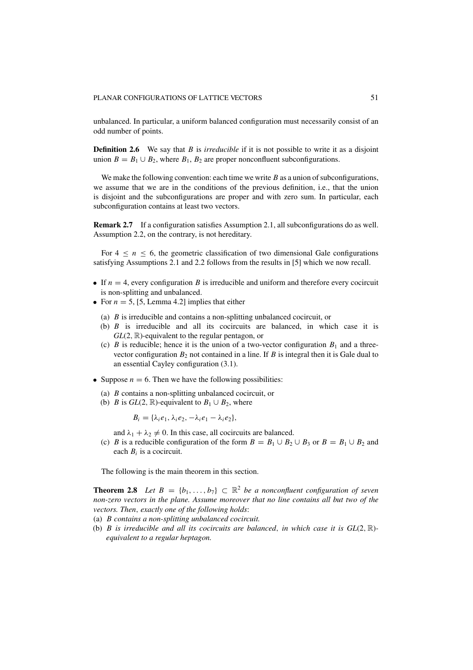unbalanced. In particular, a uniform balanced configuration must necessarily consist of an odd number of points.

**Definition 2.6** We say that *B* is *irreducible* if it is not possible to write it as a disjoint union  $B = B_1 \cup B_2$ , where  $B_1$ ,  $B_2$  are proper nonconfluent subconfigurations.

We make the following convention: each time we write *B* as a union of subconfigurations, we assume that we are in the conditions of the previous definition, i.e., that the union is disjoint and the subconfigurations are proper and with zero sum. In particular, each subconfiguration contains at least two vectors.

**Remark 2.7** If a configuration satisfies Assumption 2.1, all subconfigurations do as well. Assumption 2.2, on the contrary, is not hereditary.

For  $4 \leq n \leq 6$ , the geometric classification of two dimensional Gale configurations satisfying Assumptions 2.1 and 2.2 follows from the results in [5] which we now recall.

- If  $n = 4$ , every configuration *B* is irreducible and uniform and therefore every cocircuit is non-splitting and unbalanced.
- For  $n = 5$ , [5, Lemma 4.2] implies that either
	- (a) *B* is irreducible and contains a non-splitting unbalanced cocircuit, or
	- (b) *B* is irreducible and all its cocircuits are balanced, in which case it is *GL*(2,  $\mathbb{R}$ )-equivalent to the regular pentagon, or
	- (c) *B* is reducible; hence it is the union of a two-vector configuration  $B_1$  and a threevector configuration  $B_2$  not contained in a line. If *B* is integral then it is Gale dual to an essential Cayley configuration (3.1).
- Suppose  $n = 6$ . Then we have the following possibilities:
	- (a) *B* contains a non-splitting unbalanced cocircuit, or
	- (b) *B* is  $GL(2, \mathbb{R})$ -equivalent to  $B_1 \cup B_2$ , where

 $B_i = {\lambda_i e_1, \lambda_i e_2, -\lambda_i e_1 - \lambda_i e_2},$ 

and  $\lambda_1 + \lambda_2 \neq 0$ . In this case, all cocircuits are balanced.

(c) *B* is a reducible configuration of the form  $B = B_1 \cup B_2 \cup B_3$  or  $B = B_1 \cup B_2$  and each *Bi* is a cocircuit.

The following is the main theorem in this section.

**Theorem 2.8** *Let*  $B = \{b_1, \ldots, b_7\} \subset \mathbb{R}^2$  *be a nonconfluent configuration of seven non-zero vectors in the plane. Assume moreover that no line contains all but two of the vectors. Then*, *exactly one of the following holds*:

- (a) *B contains a non-splitting unbalanced cocircuit.*
- (b) *B is irreducible and all its cocircuits are balanced*, *in which case it is GL*(2, R) *equivalent to a regular heptagon.*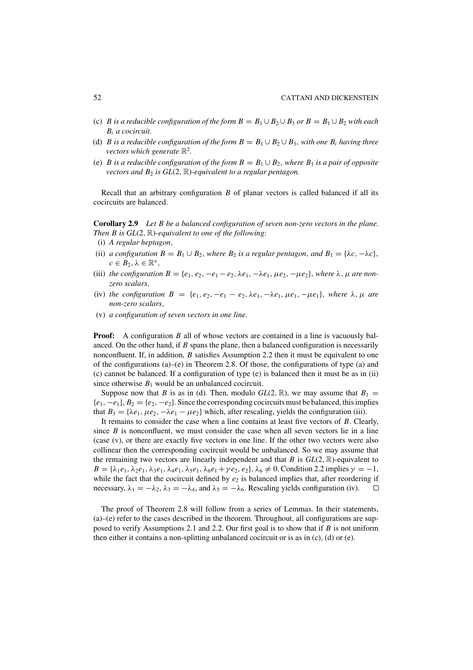- (c) *B* is a reducible configuration of the form  $B = B_1 \cup B_2 \cup B_3$  or  $B = B_1 \cup B_2$  with each *Bi a cocircuit.*
- (d) *B* is a reducible configuration of the form  $B = B_1 \cup B_2 \cup B_3$ , with one  $B_i$  having three *vectors which generate*  $\mathbb{R}^2$ .
- (e) *B* is a reducible configuration of the form  $B = B_1 \cup B_2$ , where  $B_1$  is a pair of opposite *vectors and*  $B_2$  *is*  $GL(2, \mathbb{R})$ *-equivalent to a regular pentagon.*

Recall that an arbitrary configuration *B* of planar vectors is called balanced if all its cocircuits are balanced.

**Corollary 2.9** *Let B be a balanced configuration of seven non-zero vectors in the plane. Then B is GL*(2, R)*-equivalent to one of the following*:

- (i) *A regular heptagon*,
- (ii) *a configuration*  $B = B_1 \cup B_2$ *, where*  $B_2$  *is a regular pentagon, and*  $B_1 = \{\lambda c, -\lambda c\}$ *,*  $c \in B_2, \lambda \in \mathbb{R}^*,$
- (iii) *the configuration*  $B = \{e_1, e_2, -e_1 e_2, \lambda e_1, -\lambda e_1, \mu e_2, -\mu e_2\}$ , *where*  $\lambda$ ,  $\mu$  *are nonzero scalars*,
- (iv) *the configuration*  $B = \{e_1, e_2, -e_1 e_2, \lambda e_1, -\lambda e_1, \mu e_1, -\mu e_1\}$ , where  $\lambda, \mu$  are *non-zero scalars*,
- (v) *a configuration of seven vectors in one line.*

**Proof:** A configuration *B* all of whose vectors are contained in a line is vacuously balanced. On the other hand, if *B* spans the plane, then a balanced configuration is necessarily nonconfluent. If, in addition, *B* satisfies Assumption 2.2 then it must be equivalent to one of the configurations  $(a)$ – $(e)$  in Theorem 2.8. Of those, the configurations of type  $(a)$  and (c) cannot be balanced. If a configuration of type (e) is balanced then it must be as in (ii) since otherwise  $B_1$  would be an unbalanced cocircuit.

Suppose now that *B* is as in (d). Then, modulo  $GL(2, \mathbb{R})$ , we may assume that  $B_1 =$  ${e_1, -e_1}, B_2 = {e_2, -e_2}.$  Since the corresponding cocircuits must be balanced, this implies that  $B_3 = {\lambda e_1, \mu e_2, -\lambda e_1 - \mu e_2}$  which, after rescaling, yields the configuration (iii).

It remains to consider the case when a line contains at least five vectors of *B*. Clearly, since  $B$  is nonconfluent, we must consider the case when all seven vectors lie in a line (case (v), or there are exactly five vectors in one line. If the other two vectors were also collinear then the corresponding cocircuit would be unbalanced. So we may assume that the remaining two vectors are linearly independent and that *B* is  $GL(2, \mathbb{R})$ -equivalent to  $B = {\lambda_1 e_1, \lambda_2 e_1, \lambda_3 e_1, \lambda_4 e_1, \lambda_5 e_1, \lambda_6 e_1 + \gamma e_2, e_2}, \lambda_6 \neq 0$ . Condition 2.2 implies  $\gamma = -1$ , while the fact that the cocircuit defined by  $e_2$  is balanced implies that, after reordering if necessary,  $\lambda_1 = -\lambda_2$ ,  $\lambda_3 = -\lambda_4$ , and  $\lambda_5 = -\lambda_6$ . Rescaling yields configuration (iv).  $\Box$ 

The proof of Theorem 2.8 will follow from a series of Lemmas. In their statements, (a)–(e) refer to the cases described in the theorem. Throughout, all configurations are supposed to verify Assumptions 2.1 and 2.2. Our first goal is to show that if *B* is not uniform then either it contains a non-splitting unbalanced cocircuit or is as in (c), (d) or (e).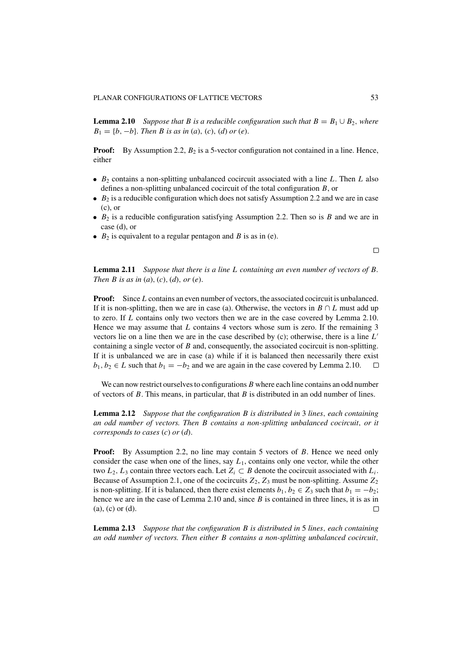**Lemma 2.10** *Suppose that B is a reducible configuration such that*  $B = B_1 \cup B_2$ , where  $B_1 = \{b, -b\}$ *. Then B is as in* (*a*), (*c*), (*d*) *or* (*e*).

**Proof:** By Assumption 2.2,  $B_2$  is a 5-vector configuration not contained in a line. Hence, either

- *B*<sup>2</sup> contains a non-splitting unbalanced cocircuit associated with a line *L*. Then *L* also defines a non-splitting unbalanced cocircuit of the total configuration *B*, or
- $B_2$  is a reducible configuration which does not satisfy Assumption 2.2 and we are in case (c), or
- $B_2$  is a reducible configuration satisfying Assumption 2.2. Then so is  $B$  and we are in case (d), or
- $B_2$  is equivalent to a regular pentagon and *B* is as in (e).

 $\Box$ 

**Lemma 2.11** *Suppose that there is a line L containing an even number of vectors of B. Then B is as in* (*a*), (*c*), (*d*), *or* (*e*).

**Proof:** Since *L* contains an even number of vectors, the associated cocircuit is unbalanced. If it is non-splitting, then we are in case (a). Otherwise, the vectors in  $B \cap L$  must add up to zero. If *L* contains only two vectors then we are in the case covered by Lemma 2.10. Hence we may assume that *L* contains 4 vectors whose sum is zero. If the remaining 3 vectors lie on a line then we are in the case described by (c); otherwise, there is a line *L* containing a single vector of *B* and, consequently, the associated cocircuit is non-splitting. If it is unbalanced we are in case (a) while if it is balanced then necessarily there exist  $b_1, b_2 \in L$  such that  $b_1 = -b_2$  and we are again in the case covered by Lemma 2.10.  $\Box$ 

We can now restrict ourselves to configurations *B* where each line contains an odd number of vectors of *B*. This means, in particular, that *B* is distributed in an odd number of lines.

**Lemma 2.12** *Suppose that the configuration B is distributed in* 3 *lines*, *each containing an odd number of vectors. Then B contains a non-splitting unbalanced cocircuit*, *or it corresponds to cases* (*c*) *or* (*d*).

**Proof:** By Assumption 2.2, no line may contain 5 vectors of *B*. Hence we need only consider the case when one of the lines, say *L*1, contains only one vector, while the other two  $L_2$ ,  $L_3$  contain three vectors each. Let  $Z_i \subset B$  denote the cocircuit associated with  $L_i$ . Because of Assumption 2.1, one of the cocircuits  $Z_2$ ,  $Z_3$  must be non-splitting. Assume  $Z_2$ is non-splitting. If it is balanced, then there exist elements  $b_1, b_2 \in Z_3$  such that  $b_1 = -b_2$ ; hence we are in the case of Lemma 2.10 and, since *B* is contained in three lines, it is as in (a), (c) or (d).

**Lemma 2.13** *Suppose that the configuration B is distributed in* 5 *lines*, *each containing an odd number of vectors. Then either B contains a non-splitting unbalanced cocircuit*,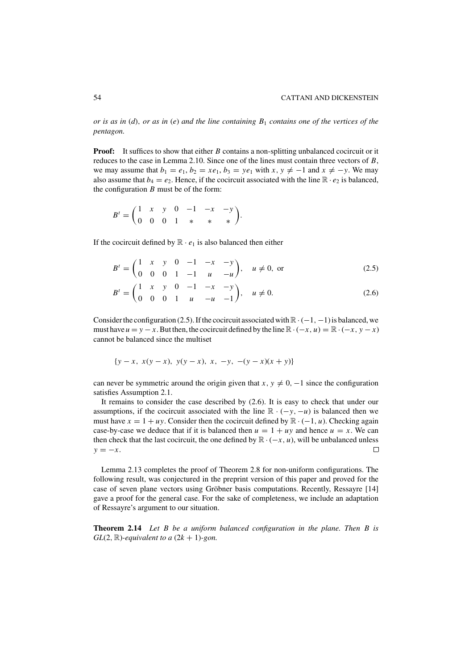*or is as in* (*d*), *or as in* (*e*) *and the line containing B*<sup>1</sup> *contains one of the vertices of the pentagon.*

**Proof:** It suffices to show that either *B* contains a non-splitting unbalanced cocircuit or it reduces to the case in Lemma 2.10. Since one of the lines must contain three vectors of *B*, we may assume that  $b_1 = e_1$ ,  $b_2 = xe_1$ ,  $b_3 = ye_1$  with  $x, y \neq -1$  and  $x \neq -y$ . We may also assume that  $b_4 = e_2$ . Hence, if the cocircuit associated with the line  $\mathbb{R} \cdot e_2$  is balanced, the configuration *B* must be of the form:

$$
B^{t} = \begin{pmatrix} 1 & x & y & 0 & -1 & -x & -y \\ 0 & 0 & 0 & 1 & * & * & * \end{pmatrix}.
$$

If the cocircuit defined by  $\mathbb{R} \cdot e_1$  is also balanced then either

$$
B^{t} = \begin{pmatrix} 1 & x & y & 0 & -1 & -x & -y \\ 0 & 0 & 0 & 1 & -1 & u & -u \end{pmatrix}, \quad u \neq 0, \text{ or}
$$
 (2.5)

$$
B^{t} = \begin{pmatrix} 1 & x & y & 0 & -1 & -x & -y \\ 0 & 0 & 0 & 1 & u & -u & -1 \end{pmatrix}, \quad u \neq 0.
$$
 (2.6)

Consider the configuration (2.5). If the cocircuit associated with  $\mathbb{R} \cdot (-1, -1)$  is balanced, we must have  $u = y - x$ . But then, the cocircuit defined by the line  $\mathbb{R} \cdot (-x, u) = \mathbb{R} \cdot (-x, y - x)$ cannot be balanced since the multiset

$$
\{y-x, x(y-x), y(y-x), x, -y, -(y-x)(x+y)\}
$$

can never be symmetric around the origin given that  $x, y \neq 0, -1$  since the configuration satisfies Assumption 2.1.

It remains to consider the case described by (2.6). It is easy to check that under our assumptions, if the cocircuit associated with the line  $\mathbb{R} \cdot (-y, -u)$  is balanced then we must have  $x = 1 + uy$ . Consider then the cocircuit defined by  $\mathbb{R} \cdot (-1, u)$ . Checking again case-by-case we deduce that if it is balanced then  $u = 1 + uy$  and hence  $u = x$ . We can then check that the last cocircuit, the one defined by  $\mathbb{R} \cdot (-x, u)$ , will be unbalanced unless  $\Box$  $y = -x$ .

Lemma 2.13 completes the proof of Theorem 2.8 for non-uniform configurations. The following result, was conjectured in the preprint version of this paper and proved for the case of seven plane vectors using Gröbner basis computations. Recently, Ressayre [14] gave a proof for the general case. For the sake of completeness, we include an adaptation of Ressayre's argument to our situation.

**Theorem 2.14** *Let B be a uniform balanced configuration in the plane. Then B is GL*(2,  $\mathbb{R}$ *)-equivalent to a* (2*k* + 1)-gon.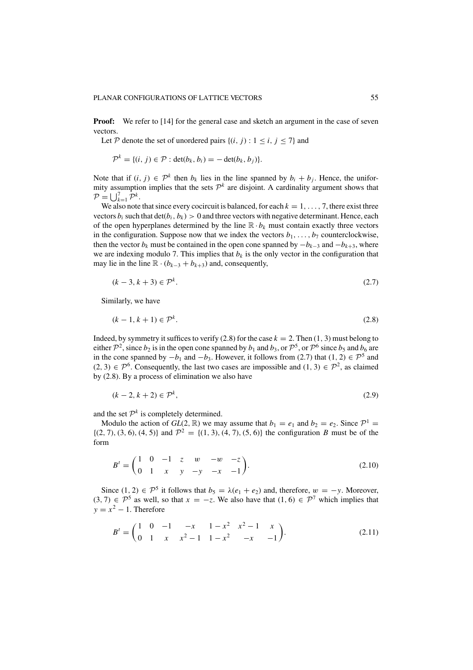**Proof:** We refer to [14] for the general case and sketch an argument in the case of seven vectors.

Let P denote the set of unordered pairs  $\{(i, j): 1 \le i, j \le 7\}$  and

$$
\mathcal{P}^k = \{(i, j) \in \mathcal{P} : \det(b_k, b_i) = -\det(b_k, b_j)\}.
$$

Note that if  $(i, j) \in \mathcal{P}^k$  then  $b_k$  lies in the line spanned by  $b_i + b_j$ . Hence, the uniformity assumption implies that the sets  $\mathcal{P}^k$  are disjoint. A cardinality argument shows that  $\mathcal{P} = \bigcup_{k=1}^{7} \mathcal{P}^k$ .

We also note that since every cocircuit is balanced, for each  $k = 1, \ldots, 7$ , there exist three vectors  $b_i$  such that  $\det(b_i, b_k) > 0$  and three vectors with negative determinant. Hence, each of the open hyperplanes determined by the line  $\mathbb{R} \cdot b_k$  must contain exactly three vectors in the configuration. Suppose now that we index the vectors  $b_1, \ldots, b_7$  counterclockwise, then the vector  $b_k$  must be contained in the open cone spanned by  $-b_{k-3}$  and  $-b_{k+3}$ , where we are indexing modulo 7. This implies that  $b_k$  is the only vector in the configuration that may lie in the line  $\mathbb{R} \cdot (b_{k-3} + b_{k+3})$  and, consequently,

$$
(k-3, k+3) \in \mathcal{P}^k. \tag{2.7}
$$

Similarly, we have

$$
(k-1, k+1) \in \mathcal{P}^k. \tag{2.8}
$$

Indeed, by symmetry it suffices to verify (2.8) for the case  $k = 2$ . Then (1, 3) must belong to either  $\mathcal{P}^2$ , since *b*<sub>2</sub> is in the open cone spanned by *b*<sub>1</sub> and *b*<sub>3</sub>, or  $\mathcal{P}^5$ , or  $\mathcal{P}^6$  since *b*<sub>5</sub> and *b*<sub>6</sub> are in the cone spanned by  $-b_1$  and  $-b_3$ . However, it follows from (2.7) that (1, 2)  $\in \mathcal{P}^5$  and  $(2, 3) \in \mathcal{P}^6$ . Consequently, the last two cases are impossible and  $(1, 3) \in \mathcal{P}^2$ , as claimed by (2.8). By a process of elimination we also have

$$
(k-2, k+2) \in \mathcal{P}^k,\tag{2.9}
$$

and the set  $\mathcal{P}^k$  is completely determined.

Modulo the action of  $GL(2, \mathbb{R})$  we may assume that  $b_1 = e_1$  and  $b_2 = e_2$ . Since  $\mathcal{P}^1$  $\{(2, 7), (3, 6), (4, 5)\}\$ and  $\mathcal{P}^2 = \{(1, 3), (4, 7), (5, 6)\}\$ the configuration *B* must be of the form

$$
B' = \begin{pmatrix} 1 & 0 & -1 & z & w & -w & -z \\ 0 & 1 & x & y & -y & -x & -1 \end{pmatrix}.
$$
 (2.10)

Since  $(1, 2) \in \mathcal{P}^5$  it follows that  $b_5 = \lambda(e_1 + e_2)$  and, therefore,  $w = -y$ . Moreover,  $(3, 7)$  ∈  $\mathcal{P}^5$  as well, so that  $x = -z$ . We also have that  $(1, 6) \in \mathcal{P}^7$  which implies that  $y = x^2 - 1$ . Therefore

$$
B^{t} = \begin{pmatrix} 1 & 0 & -1 & -x & 1 - x^{2} & x^{2} - 1 & x \\ 0 & 1 & x & x^{2} - 1 & 1 - x^{2} & -x & -1 \end{pmatrix}.
$$
 (2.11)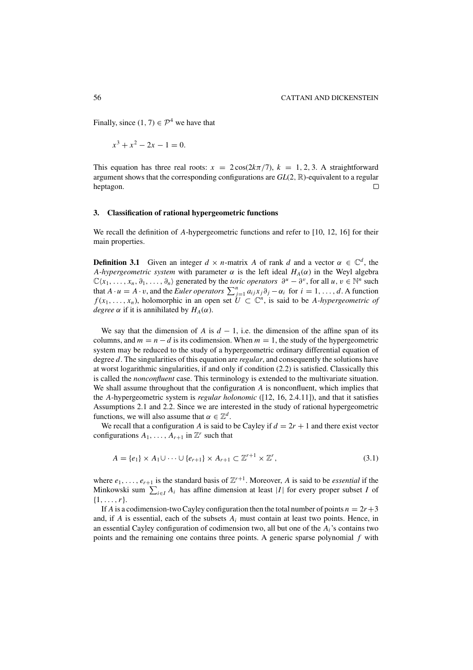Finally, since  $(1, 7) \in \mathcal{P}^4$  we have that

$$
x^3 + x^2 - 2x - 1 = 0.
$$

This equation has three real roots:  $x = 2\cos(2k\pi/7)$ ,  $k = 1, 2, 3$ . A straightforward argument shows that the corresponding configurations are *GL*(2, R)-equivalent to a regular heptagon.  $\Box$ 

## **3. Classification of rational hypergeometric functions**

We recall the definition of *A*-hypergeometric functions and refer to [10, 12, 16] for their main properties.

**Definition 3.1** Given an integer  $d \times n$ -matrix *A* of rank *d* and a vector  $\alpha \in \mathbb{C}^d$ , the *A-hypergeometric system* with parameter  $\alpha$  is the left ideal  $H_A(\alpha)$  in the Weyl algebra  $\mathbb{C}\langle x_1,\ldots,x_n,\partial_1,\ldots,\partial_n\rangle$  generated by the *toric operators*  $\partial^u - \partial^v$ , for all  $u, v \in \mathbb{N}^n$  such that  $A \cdot u = A \cdot v$ , and the *Euler operators*  $\sum_{j=1}^{n} a_{ij} x_j \partial_j - \alpha_i$  for  $i = 1, ..., d$ . A function *f* (*x*<sub>1</sub>, ..., *x<sub>n</sub>*), holomorphic in an open set  $U \subset \mathbb{C}^n$ , is said to be *A-hypergeometric of degree*  $\alpha$  if it is annihilated by  $H_A(\alpha)$ .

We say that the dimension of *A* is  $d - 1$ , i.e. the dimension of the affine span of its columns, and  $m = n - d$  is its codimension. When  $m = 1$ , the study of the hypergeometric system may be reduced to the study of a hypergeometric ordinary differential equation of degree *d*. The singularities of this equation are *regular*, and consequently the solutions have at worst logarithmic singularities, if and only if condition (2.2) is satisfied. Classically this is called the *nonconfluent* case. This terminology is extended to the multivariate situation. We shall assume throughout that the configuration *A* is nonconfluent, which implies that the *A*-hypergeometric system is *regular holonomic* ([12, 16, 2.4.11]), and that it satisfies Assumptions 2.1 and 2.2. Since we are interested in the study of rational hypergeometric functions, we will also assume that  $\alpha \in \mathbb{Z}^d$ .

We recall that a configuration *A* is said to be Cayley if  $d = 2r + 1$  and there exist vector configurations  $A_1, \ldots, A_{r+1}$  in  $\mathbb{Z}^r$  such that

$$
A = \{e_1\} \times A_1 \cup \cdots \cup \{e_{r+1}\} \times A_{r+1} \subset \mathbb{Z}^{r+1} \times \mathbb{Z}^r,
$$
\n
$$
(3.1)
$$

where  $e_1, \ldots, e_{r+1}$  is the standard basis of  $\mathbb{Z}^{r+1}$ . Moreover, *A* is said to be *essential* if the Minkowski sum  $\sum_{i \in I} A_i$  has affine dimension at least |*I*| for every proper subset *I* of  $\{1,\ldots,r\}.$ 

If *A* is a codimension-two Cayley configuration then the total number of points  $n = 2r+3$ and, if *A* is essential, each of the subsets *Ai* must contain at least two points. Hence, in an essential Cayley configuration of codimension two, all but one of the *Ai*'s contains two points and the remaining one contains three points. A generic sparse polynomial *f* with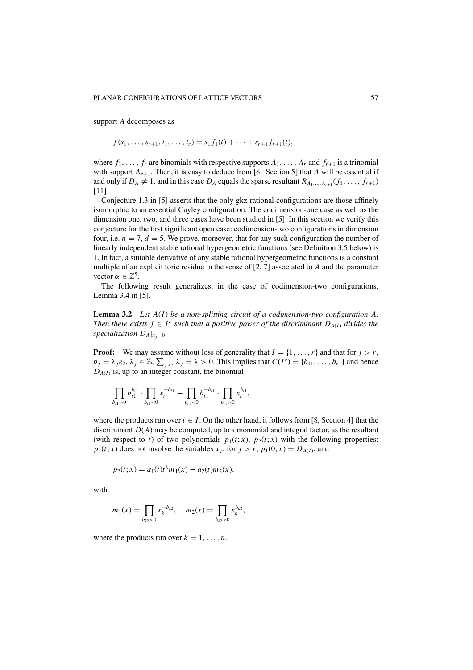#### PLANAR CONFIGURATIONS OF LATTICE VECTORS 67

support *A* decomposes as

$$
f(s_1,\ldots,s_{r+1},t_1,\ldots,t_r)=s_1f_1(t)+\cdots+s_{r+1}f_{r+1}(t),
$$

where  $f_1, \ldots, f_r$  are binomials with respective supports  $A_1, \ldots, A_r$  and  $f_{r+1}$  is a trinomial with support  $A_{r+1}$ . Then, it is easy to deduce from [8, Section 5] that A will be essential if and only if  $D_A \neq 1$ , and in this case  $D_A$  equals the sparse resultant  $R_{A_1,...,A_{r+1}}(f_1,...,f_{r+1})$ [11].

Conjecture 1.3 in [5] asserts that the only gkz-rational configurations are those affinely isomorphic to an essential Cayley configuration. The codimension-one case as well as the dimension one, two, and three cases have been studied in [5]. In this section we verify this conjecture for the first significant open case: codimension-two configurations in dimension four, i.e.  $n = 7$ ,  $d = 5$ . We prove, moreover, that for any such configuration the number of linearly independent stable rational hypergeometric functions (see Definition 3.5 below) is 1. In fact, a suitable derivative of any stable rational hypergeometric functions is a constant multiple of an explicit toric residue in the sense of [2, 7] associated to *A* and the parameter vector  $\alpha \in \mathbb{Z}^5$ .

The following result generalizes, in the case of codimension-two configurations, Lemma 3.4 in [5].

**Lemma 3.2** *Let A*(*I*) *be a non-splitting circuit of a codimension-two configuration A. Then there exists*  $j \in I^c$  *such that a positive power of the discriminant*  $D_{A(I)}$  *divides the specialization*  $D_A|_{x_i=0}$ .

**Proof:** We may assume without loss of generality that  $I = \{1, \ldots, r\}$  and that for  $j > r$ ,  $b_j = \lambda_j e_2, \lambda_j \in \mathbb{Z}, \sum_{j>r} \lambda_j = \lambda > 0$ . This implies that  $C(I^c) = \{b_{11}, \ldots, b_{r1}\}$  and hence  $D_{A(I)}$  is, up to an integer constant, the binomial

$$
\prod_{b_{i1}>0} b_{i1}^{b_{i1}} \cdot \prod_{b_{i1}<0} x_i^{-b_{i1}} - \prod_{b_{i1}<0} b_{i1}^{-b_{i1}} \cdot \prod_{b_{i1}>0} x_i^{b_{i1}},
$$

where the products run over  $i \in I$ . On the other hand, it follows from [8, Section 4] that the discriminant  $D(A)$  may be computed, up to a monomial and integral factor, as the resultant (with respect to *t*) of two polynomials  $p_1(t; x)$ ,  $p_2(t; x)$  with the following properties:  $p_1(t; x)$  does not involve the variables  $x_j$ , for  $j > r$ ,  $p_1(0; x) = D_{A(I)}$ , and

$$
p_2(t; x) = a_1(t)t^{\lambda}m_1(x) - a_2(t)m_2(x),
$$

with

$$
m_1(x) = \prod_{b_{k2} < 0} x_k^{-b_{k2}}, \quad m_2(x) = \prod_{b_{k2} > 0} x_k^{b_{k2}},
$$

where the products run over  $k = 1, \ldots, n$ .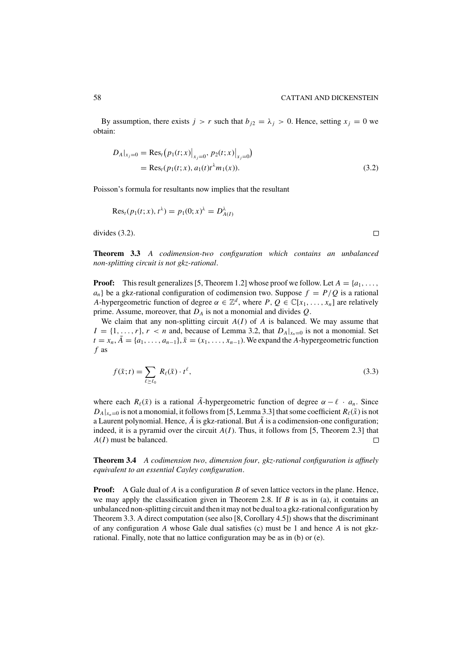By assumption, there exists  $j > r$  such that  $b_{i2} = \lambda_i > 0$ . Hence, setting  $x_i = 0$  we obtain:

$$
D_A|_{x_j=0} = \text{Res}_t (p_1(t; x)|_{x_j=0}, p_2(t; x)|_{x_j=0})
$$
  
= Res\_t (p\_1(t; x), a\_1(t)t<sup>λ</sup>m<sub>1</sub>(x)). (3.2)

Poisson's formula for resultants now implies that the resultant

$$
\text{Res}_{t}(p_{1}(t; x), t^{\lambda}) = p_{1}(0; x)^{\lambda} = D_{A(1)}^{\lambda}
$$

divides (3.2).

**Theorem 3.3** *A codimension-two configuration which contains an unbalanced non-splitting circuit is not gkz-rational*.

**Proof:** This result generalizes [5, Theorem 1.2] whose proof we follow. Let  $A = \{a_1, \ldots, a_n\}$  $a_n$ } be a gkz-rational configuration of codimension two. Suppose  $f = P/Q$  is a rational *A*-hypergeometric function of degree  $\alpha \in \mathbb{Z}^d$ , where  $P, Q \in \mathbb{C}[x_1, \ldots, x_n]$  are relatively prime. Assume, moreover, that *DA* is not a monomial and divides *Q*.

We claim that any non-splitting circuit  $A(I)$  of  $A$  is balanced. We may assume that  $I = \{1, \ldots, r\}, r < n$  and, because of Lemma 3.2, that  $D_A|_{x_n=0}$  is not a monomial. Set  $t = x_n$ ,  $\tilde{A} = \{a_1, \ldots, a_{n-1}\}, \tilde{x} = (x_1, \ldots, x_{n-1})$ . We expand the *A*-hypergeometric function *f* as

$$
f(\tilde{x};t) = \sum_{\ell \ge \ell_0} R_{\ell}(\tilde{x}) \cdot t^{\ell}, \tag{3.3}
$$

where each  $R_{\ell}(\tilde{x})$  is a rational  $\tilde{A}$ -hypergeometric function of degree  $\alpha - \ell \cdot a_n$ . Since  $D_A|_{x_n=0}$  is not a monomial, it follows from [5, Lemma 3.3] that some coefficient  $R_\ell(\tilde{x})$  is not a Laurent polynomial. Hence,  $\tilde{A}$  is gkz-rational. But  $\tilde{A}$  is a codimension-one configuration; indeed, it is a pyramid over the circuit  $A(I)$ . Thus, it follows from [5, Theorem 2.3] that *A*(*I*) must be balanced.  $\Box$ 

**Theorem 3.4** *A codimension two*, *dimension four*, *gkz-rational configuration is affinely equivalent to an essential Cayley configuration*.

**Proof:** A Gale dual of *A* is a configuration *B* of seven lattice vectors in the plane. Hence, we may apply the classification given in Theorem 2.8. If  $B$  is as in (a), it contains an unbalanced non-splitting circuit and then it may not be dual to a gkz-rational configuration by Theorem 3.3. A direct computation (see also [8, Corollary 4.5]) shows that the discriminant of any configuration *A* whose Gale dual satisfies (c) must be 1 and hence *A* is not gkzrational. Finally, note that no lattice configuration may be as in (b) or (e).

 $\Box$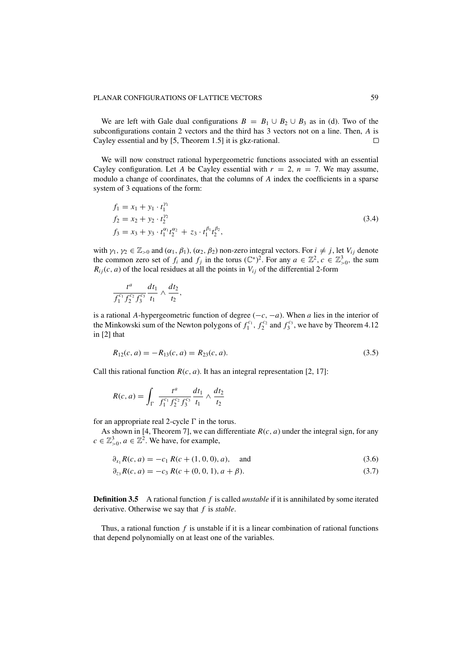We are left with Gale dual configurations  $B = B_1 \cup B_2 \cup B_3$  as in (d). Two of the subconfigurations contain 2 vectors and the third has 3 vectors not on a line. Then, *A* is Cayley essential and by [5, Theorem 1.5] it is gkz-rational.  $\Box$ 

We will now construct rational hypergeometric functions associated with an essential Cayley configuration. Let *A* be Cayley essential with  $r = 2$ ,  $n = 7$ . We may assume, modulo a change of coordinates, that the columns of *A* index the coefficients in a sparse system of 3 equations of the form:

$$
f_1 = x_1 + y_1 \cdot t_1^{\gamma_1}
$$
  
\n
$$
f_2 = x_2 + y_2 \cdot t_2^{\gamma_2}
$$
  
\n
$$
f_3 = x_3 + y_3 \cdot t_1^{\alpha_1} t_2^{\alpha_2} + z_3 \cdot t_1^{\beta_1} t_2^{\beta_2},
$$
\n(3.4)

with  $\gamma_1, \gamma_2 \in \mathbb{Z}_{>0}$  and  $(\alpha_1, \beta_1), (\alpha_2, \beta_2)$  non-zero integral vectors. For  $i \neq j$ , let  $V_{ij}$  denote the common zero set of  $f_i$  and  $f_j$  in the torus  $(\mathbb{C}^*)^2$ . For any  $a \in \mathbb{Z}^2$ ,  $c \in \mathbb{Z}_{>0}^3$ , the sum  $R_{ij}(c, a)$  of the local residues at all the points in  $V_{ij}$  of the differential 2-form

$$
\frac{t^a}{f_1^{c_1}f_2^{c_2}f_3^{c_3}}\frac{dt_1}{t_1}\wedge\frac{dt_2}{t_2},
$$

is a rational *A*-hypergeometric function of degree (−*c*, −*a*). When *a* lies in the interior of the Minkowski sum of the Newton polygons of  $f_1^{c_1}$ ,  $f_2^{c_2}$  and  $f_3^{c_3}$ , we have by Theorem 4.12 in [2] that

$$
R_{12}(c, a) = -R_{13}(c, a) = R_{23}(c, a). \tag{3.5}
$$

Call this rational function  $R(c, a)$ . It has an integral representation [2, 17]:

$$
R(c, a) = \int_{\Gamma} \frac{t^{a}}{f_1^{c_1} f_2^{c_2} f_3^{c_3}} \frac{dt_1}{t_1} \wedge \frac{dt_2}{t_2}
$$

for an appropriate real 2-cycle  $\Gamma$  in the torus.

As shown in [4, Theorem 7], we can differentiate  $R(c, a)$  under the integral sign, for any  $c \in \mathbb{Z}_{>0}^3$ ,  $a \in \mathbb{Z}^2$ . We have, for example,

$$
\partial_{x_1} R(c, a) = -c_1 R(c + (1, 0, 0), a), \quad \text{and} \tag{3.6}
$$

$$
\partial_{z_3} R(c, a) = -c_3 R(c + (0, 0, 1), a + \beta). \tag{3.7}
$$

**Definition 3.5** A rational function *f* is called *unstable* if it is annihilated by some iterated derivative. Otherwise we say that *f* is *stable*.

Thus, a rational function *f* is unstable if it is a linear combination of rational functions that depend polynomially on at least one of the variables.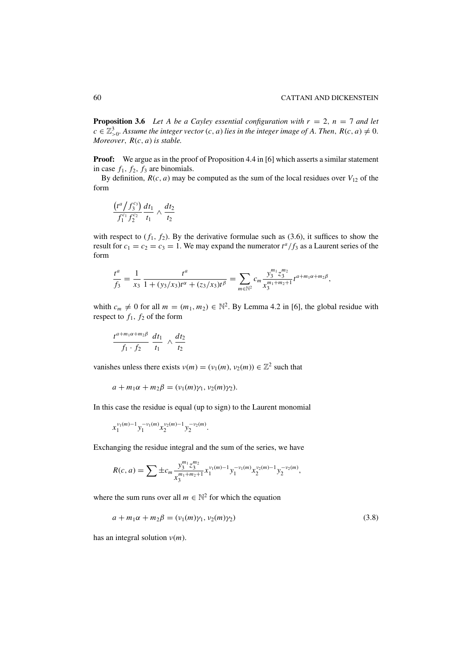**Proposition 3.6** *Let A be a Cayley essential configuration with*  $r = 2$ ,  $n = 7$  *and let*  $c \in \mathbb{Z}_{>0}^3$ . Assume the integer vector  $(c, a)$  lies in the integer image of A. Then,  $R(c, a) \neq 0$ . *Moreover*, *R*(*c*, *a*) *is stable.*

**Proof:** We argue as in the proof of Proposition 4.4 in [6] which asserts a similar statement in case  $f_1$ ,  $f_2$ ,  $f_3$  are binomials.

By definition,  $R(c, a)$  may be computed as the sum of the local residues over  $V_{12}$  of the form

$$
\frac{(t^a/f_3^{c_3})}{f_1^{c_1}f_2^{c_2}}\frac{dt_1}{t_1}\wedge\frac{dt_2}{t_2}
$$

with respect to  $(f_1, f_2)$ . By the derivative formulae such as  $(3.6)$ , it suffices to show the result for  $c_1 = c_2 = c_3 = 1$ . We may expand the numerator  $t^a/f_3$  as a Laurent series of the form

$$
\frac{t^a}{f_3} = \frac{1}{x_3} \frac{t^a}{1 + (y_3/x_3)t^\alpha + (z_3/x_3)t^\beta} = \sum_{m \in \mathbb{N}^2} c_m \frac{y_3^{m_1} z_3^{m_2}}{x_3^{m_1 + m_2 + 1}} t^{a + m_1 \alpha + m_2 \beta},
$$

whith  $c_m \neq 0$  for all  $m = (m_1, m_2) \in \mathbb{N}^2$ . By Lemma 4.2 in [6], the global residue with respect to  $f_1$ ,  $f_2$  of the form

$$
\frac{t^{a+m_1\alpha+m_2\beta}}{f_1 \cdot f_2} \frac{dt_1}{t_1} \wedge \frac{dt_2}{t_2}
$$

vanishes unless there exists  $v(m) = (v_1(m), v_2(m)) \in \mathbb{Z}^2$  such that

$$
a+m_1\alpha+m_2\beta=(v_1(m)\gamma_1,v_2(m)\gamma_2).
$$

In this case the residue is equal (up to sign) to the Laurent monomial

$$
x_1^{\nu_1(m)-1}y_1^{-\nu_1(m)}x_2^{\nu_2(m)-1}y_2^{-\nu_2(m)}.
$$

Exchanging the residue integral and the sum of the series, we have

$$
R(c,a) = \sum \pm c_m \frac{y_3^{m_1} z_3^{m_2}}{x_3^{m_1+m_2+1}} x_1^{\nu_1(m)-1} y_1^{-\nu_1(m)} x_2^{\nu_2(m)-1} y_2^{-\nu_2(m)},
$$

where the sum runs over all  $m \in \mathbb{N}^2$  for which the equation

$$
a + m_1 \alpha + m_2 \beta = (\nu_1(m)\gamma_1, \nu_2(m)\gamma_2)
$$
\n(3.8)

has an integral solution ν(*m*).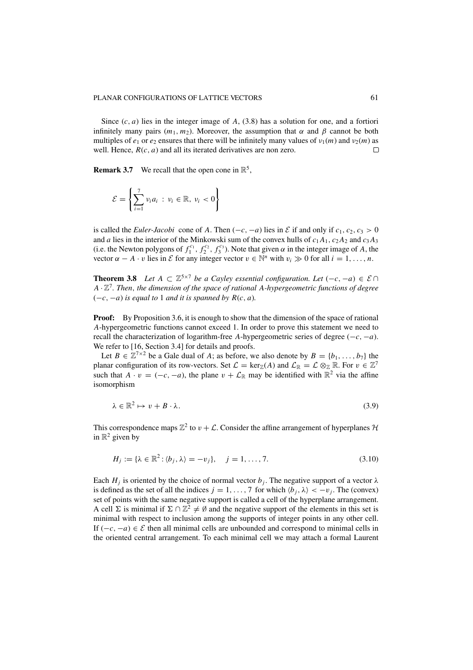Since  $(c, a)$  lies in the integer image of  $A$ ,  $(3.8)$  has a solution for one, and a fortiori infinitely many pairs  $(m_1, m_2)$ . Moreover, the assumption that  $\alpha$  and  $\beta$  cannot be both multiples of  $e_1$  or  $e_2$  ensures that there will be infinitely many values of  $v_1(m)$  and  $v_2(m)$  as well. Hence, *R*(*c*, *a*) and all its iterated derivatives are non zero.  $\Box$ 

**Remark 3.7** We recall that the open cone in  $\mathbb{R}^5$ ,

$$
\mathcal{E} = \left\{ \sum_{i=1}^{7} v_i a_i : v_i \in \mathbb{R}, v_i < 0 \right\}
$$

is called the *Euler-Jacobi* cone of *A*. Then  $(-c, -a)$  lies in  $\mathcal E$  if and only if  $c_1, c_2, c_3 > 0$ and *a* lies in the interior of the Minkowski sum of the convex hulls of  $c_1A_1$ ,  $c_2A_2$  and  $c_3A_3$ (i.e. the Newton polygons of  $f_1^{c_1}$ ,  $f_2^{c_2}$ ,  $f_3^{c_3}$ ). Note that given  $\alpha$  in the integer image of *A*, the vector  $\alpha - A \cdot v$  lies in *E* for any integer vector  $v \in \mathbb{N}^n$  with  $v_i \gg 0$  for all  $i = 1, \ldots, n$ .

**Theorem 3.8** *Let*  $A \subset \mathbb{Z}^{5 \times 7}$  *be a Cayley essential configuration. Let*  $(-c, -a) \in \mathcal{E} \cap$  $A \cdot \mathbb{Z}^7$ . Then, the dimension of the space of rational A-hypergeometric functions of degree  $(-c, -a)$  *is equal to* 1 *and it is spanned by*  $R(c, a)$ *.* 

**Proof:** By Proposition 3.6, it is enough to show that the dimension of the space of rational *A*-hypergeometric functions cannot exceed 1. In order to prove this statement we need to recall the characterization of logarithm-free *A*-hypergeometric series of degree  $(-c, -a)$ . We refer to [16, Section 3.4] for details and proofs.

Let  $B \in \mathbb{Z}^7 \times 2$  be a Gale dual of *A*; as before, we also denote by  $B = \{b_1, \ldots, b_7\}$  the planar configuration of its row-vectors. Set  $\mathcal{L} = \text{ker}_{\mathbb{Z}}(A)$  and  $\mathcal{L}_{\mathbb{R}} = \mathcal{L} \otimes_{\mathbb{Z}} \mathbb{R}$ . For  $v \in \mathbb{Z}^7$ such that  $\overline{A} \cdot v = (-c, -a)$ , the plane  $v + \mathcal{L}_{\mathbb{R}}$  may be identified with  $\mathbb{R}^2$  via the affine isomorphism

$$
\lambda \in \mathbb{R}^2 \mapsto v + B \cdot \lambda. \tag{3.9}
$$

This correspondence maps  $\mathbb{Z}^2$  to  $v + \mathcal{L}$ . Consider the affine arrangement of hyperplanes  $\mathcal{H}$ in  $\mathbb{R}^2$  given by

$$
H_j := \{ \lambda \in \mathbb{R}^2 : \langle b_j, \lambda \rangle = -v_j \}, \quad j = 1, ..., 7.
$$
 (3.10)

Each  $H_j$  is oriented by the choice of normal vector  $b_j$ . The negative support of a vector  $\lambda$ is defined as the set of all the indices  $j = 1, ..., 7$  for which  $\langle b_j, \lambda \rangle < -v_j$ . The (convex) set of points with the same negative support is called a cell of the hyperplane arrangement. A cell  $\Sigma$  is minimal if  $\Sigma \cap \mathbb{Z}^2 \neq \emptyset$  and the negative support of the elements in this set is minimal with respect to inclusion among the supports of integer points in any other cell. If  $(-c, -a) \in \mathcal{E}$  then all minimal cells are unbounded and correspond to minimal cells in the oriented central arrangement. To each minimal cell we may attach a formal Laurent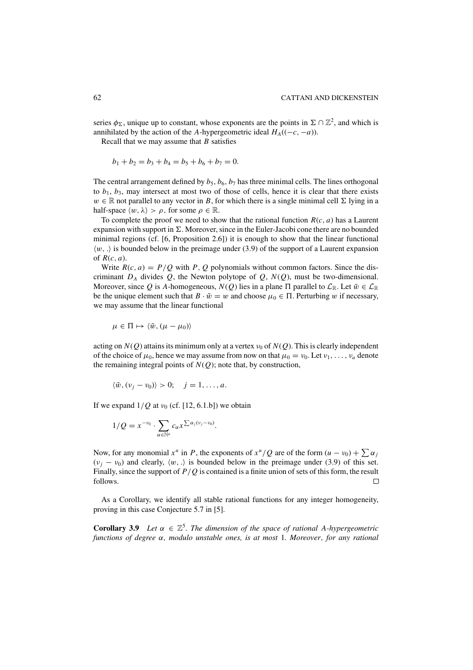series  $\phi_{\Sigma}$ , unique up to constant, whose exponents are the points in  $\Sigma \cap \mathbb{Z}^2$ , and which is annihilated by the action of the *A*-hypergeometric ideal  $H_A((-c, -a))$ .

Recall that we may assume that *B* satisfies

$$
b_1 + b_2 = b_3 + b_4 = b_5 + b_6 + b_7 = 0.
$$

The central arrangement defined by  $b_5$ ,  $b_6$ ,  $b_7$  has three minimal cells. The lines orthogonal to  $b_1$ ,  $b_3$ , may intersect at most two of those of cells, hence it is clear that there exists  $w \in \mathbb{R}$  not parallel to any vector in *B*, for which there is a single minimal cell  $\Sigma$  lying in a half-space  $\langle w, \lambda \rangle > \rho$ , for some  $\rho \in \mathbb{R}$ .

To complete the proof we need to show that the rational function  $R(c, a)$  has a Laurent expansion with support in  $\Sigma$ . Moreover, since in the Euler-Jacobi cone there are no bounded minimal regions (cf. [6, Proposition 2.6]) it is enough to show that the linear functional  $\langle w, \cdot \rangle$  is bounded below in the preimage under (3.9) of the support of a Laurent expansion of  $R(c, a)$ .

Write  $R(c, a) = P/Q$  with *P*, *Q* polynomials without common factors. Since the discriminant  $D_A$  divides  $Q$ , the Newton polytope of  $Q$ ,  $N(Q)$ , must be two-dimensional. Moreover, since Q is A-homogeneous,  $N(Q)$  lies in a plane  $\Pi$  parallel to  $\mathcal{L}_{\mathbb{R}}$ . Let  $\tilde{w} \in \mathcal{L}_{\mathbb{R}}$ be the unique element such that  $B \cdot \tilde{w} = w$  and choose  $\mu_0 \in \Pi$ . Perturbing w if necessary, we may assume that the linear functional

$$
\mu\in\Pi\mapsto\langle\tilde{w},(\mu-\mu_0)\rangle
$$

acting on  $N(O)$  attains its minimum only at a vertex  $v_0$  of  $N(O)$ . This is clearly independent of the choice of  $\mu_0$ , hence we may assume from now on that  $\mu_0 = v_0$ . Let  $v_1, \ldots, v_a$  denote the remaining integral points of  $N(Q)$ ; note that, by construction,

$$
\langle \tilde{w}, (v_j - v_0) \rangle > 0; \quad j = 1, \dots, a.
$$

If we expand  $1/Q$  at  $v_0$  (cf. [12, 6.1.b]) we obtain

$$
1/Q=x^{-\nu_0}\cdot\sum_{\alpha\in\mathbb{N}^a}c_{\alpha}x^{\sum\alpha_j(\nu_j-\nu_0)}.
$$

Now, for any monomial  $x^u$  in *P*, the exponents of  $x^u/Q$  are of the form  $(u - v_0) + \sum \alpha_i$  $(v_j - v_0)$  and clearly,  $\langle w, \cdot \rangle$  is bounded below in the preimage under (3.9) of this set. Finally, since the support of *P*/*Q* is contained is a finite union of sets of this form, the result follows.  $\Box$ 

As a Corollary, we identify all stable rational functions for any integer homogeneity, proving in this case Conjecture 5.7 in [5].

**Corollary 3.9** *Let*  $\alpha \in \mathbb{Z}^5$ *. The dimension of the space of rational A-hypergeometric functions of degree* α, *modulo unstable ones, is at most* 1*. Moreover*, *for any rational*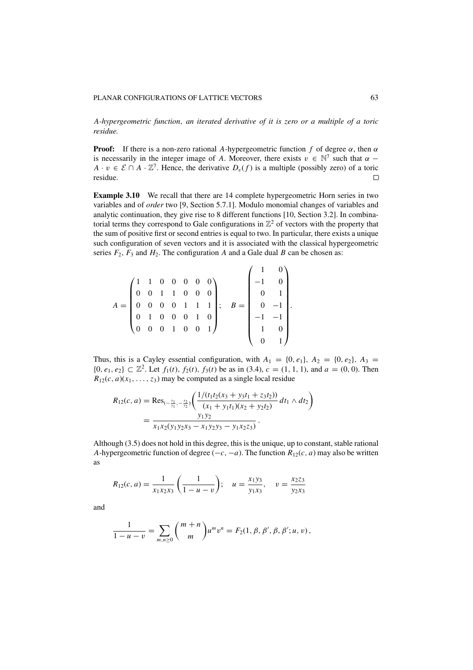*A-hypergeometric function*, *an iterated derivative of it is zero or a multiple of a toric residue.*

**Proof:** If there is a non-zero rational *A*-hypergeometric function *f* of degree  $\alpha$ , then  $\alpha$ is necessarily in the integer image of *A*. Moreover, there exists  $v \in \mathbb{N}^7$  such that  $\alpha$  – *A* · *v* ∈  $\mathcal{E} \cap A \cdot \mathbb{Z}^7$ . Hence, the derivative *D*<sub>v</sub>(*f*) is a multiple (possibly zero) of a toric residue. residue.

**Example 3.10** We recall that there are 14 complete hypergeometric Horn series in two variables and of *order* two [9, Section 5.7.1]. Modulo monomial changes of variables and analytic continuation, they give rise to 8 different functions [10, Section 3.2]. In combinatorial terms they correspond to Gale configurations in  $\mathbb{Z}^2$  of vectors with the property that the sum of positive first or second entries is equal to two. In particular, there exists a unique such configuration of seven vectors and it is associated with the classical hypergeometric series  $F_2$ ,  $F_3$  and  $H_2$ . The configuration *A* and a Gale dual *B* can be chosen as:

$$
A = \begin{pmatrix} 1 & 1 & 0 & 0 & 0 & 0 & 0 \\ 0 & 0 & 1 & 1 & 0 & 0 & 0 \\ 0 & 0 & 0 & 0 & 1 & 1 & 1 \\ 0 & 1 & 0 & 0 & 0 & 1 & 0 \\ 0 & 0 & 0 & 1 & 0 & 0 & 1 \end{pmatrix}; \quad B = \begin{pmatrix} 1 & 0 \\ -1 & 0 \\ 0 & 1 \\ 0 & -1 \\ -1 & -1 \\ 1 & 0 \\ 0 & 1 \end{pmatrix}.
$$

Thus, this is a Cayley essential configuration, with  $A_1 = \{0, e_1\}$ ,  $A_2 = \{0, e_2\}$ ,  $A_3 =$  ${0, e_1, e_2} \subset \mathbb{Z}^2$ . Let  $f_1(t), f_2(t), f_3(t)$  be as in (3.4),  $c = (1, 1, 1)$ , and  $a = (0, 0)$ . Then  $R_{12}(c, a)(x_1, \ldots, z_3)$  may be computed as a single local residue

$$
R_{12}(c, a) = \text{Res}_{(-\frac{x_1}{y_1}, -\frac{x_2}{y_2})}\left(\frac{1/(t_1t_2(x_3 + y_3t_1 + z_3t_2))}{(x_1 + y_1t_1)(x_2 + y_2t_2)} dt_1 \wedge dt_2\right)
$$
  
= 
$$
\frac{y_1y_2}{x_1x_2(y_1y_2x_3 - x_1y_2y_3 - y_1x_2z_3)}.
$$

Although (3.5) does not hold in this degree, this is the unique, up to constant, stable rational *A*-hypergeometric function of degree ( $-c$ ,  $-a$ ). The function  $R_{12}(c, a)$  may also be written as

$$
R_{12}(c, a) = \frac{1}{x_1 x_2 x_3} \left( \frac{1}{1 - u - v} \right); \quad u = \frac{x_1 y_3}{y_1 x_3}, \quad v = \frac{x_2 z_3}{y_2 x_3}
$$

and

$$
\frac{1}{1-u-v}=\sum_{m,n\geq 0}\binom{m+n}{m}u^{m}v^{n}=F_{2}(1,\beta,\beta',\beta,\beta';u,v),
$$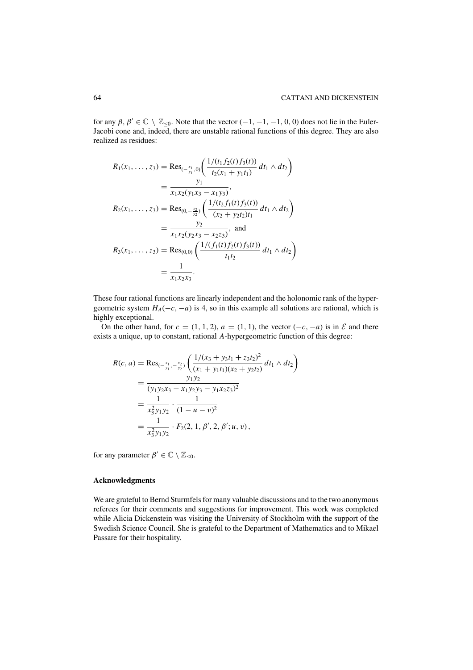for any  $\beta, \beta' \in \mathbb{C} \setminus \mathbb{Z}_{\leq 0}$ . Note that the vector  $(-1, -1, -1, 0, 0)$  does not lie in the Euler-Jacobi cone and, indeed, there are unstable rational functions of this degree. They are also realized as residues:

$$
R_1(x_1, ..., z_3) = \text{Res}_{(-\frac{x_1}{y_1}, 0)} \left( \frac{1/(t_1 f_2(t) f_3(t))}{t_2(x_1 + y_1 t_1)} dt_1 \wedge dt_2 \right)
$$
  
\n
$$
= \frac{y_1}{x_1 x_2 (y_1 x_3 - x_1 y_3)},
$$
  
\n
$$
R_2(x_1, ..., z_3) = \text{Res}_{(0, -\frac{x_2}{y_2})} \left( \frac{1/(t_2 f_1(t) f_3(t))}{(x_2 + y_2 t_2) t_1} dt_1 \wedge dt_2 \right)
$$
  
\n
$$
= \frac{y_2}{x_1 x_2 (y_2 x_3 - x_2 z_3)}, \text{ and}
$$
  
\n
$$
R_3(x_1, ..., z_3) = \text{Res}_{(0,0)} \left( \frac{1/(f_1(t) f_2(t) f_3(t))}{t_1 t_2} dt_1 \wedge dt_2 \right)
$$
  
\n
$$
= \frac{1}{x_1 x_2 x_3}.
$$

These four rational functions are linearly independent and the holonomic rank of the hypergeometric system  $H_A(-c, -a)$  is 4, so in this example all solutions are rational, which is highly exceptional.

On the other hand, for  $c = (1, 1, 2), a = (1, 1)$ , the vector  $(-c, -a)$  is in  $\mathcal E$  and there exists a unique, up to constant, rational *A*-hypergeometric function of this degree:

$$
R(c, a) = \text{Res}_{(-\frac{x_1}{y_1}, -\frac{x_2}{y_2})}\left(\frac{1/(x_3 + y_3t_1 + z_3t_2)^2}{(x_1 + y_1t_1)(x_2 + y_2t_2)} dt_1 \wedge dt_2\right)
$$
  
= 
$$
\frac{y_1y_2}{(y_1y_2x_3 - x_1y_2y_3 - y_1x_2z_3)^2}
$$
  
= 
$$
\frac{1}{x_3^2y_1y_2} \cdot \frac{1}{(1 - u - v)^2}
$$
  
= 
$$
\frac{1}{x_3^2y_1y_2} \cdot F_2(2, 1, \beta', 2, \beta'; u, v),
$$

for any parameter  $\beta' \in \mathbb{C} \setminus \mathbb{Z}_{\leq 0}$ .

## **Acknowledgments**

We are grateful to Bernd Sturmfels for many valuable discussions and to the two anonymous referees for their comments and suggestions for improvement. This work was completed while Alicia Dickenstein was visiting the University of Stockholm with the support of the Swedish Science Council. She is grateful to the Department of Mathematics and to Mikael Passare for their hospitality.